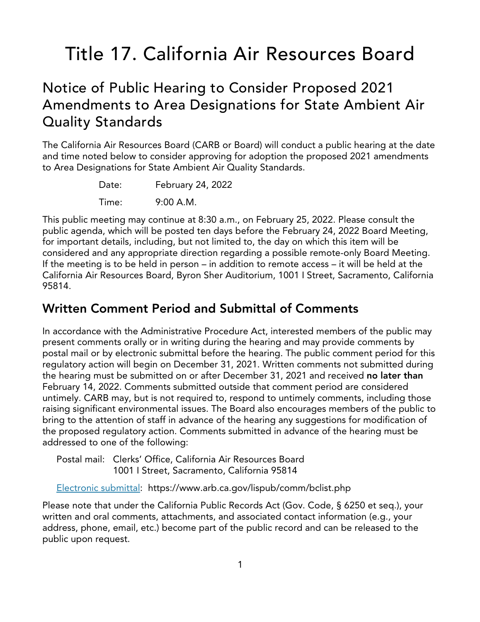# Title 17. California Air Resources Board

# Notice of Public Hearing to Consider Proposed 2021 Amendments to Area Designations for State Ambient Air Quality Standards

The California Air Resources Board (CARB or Board) will conduct a public hearing at the date and time noted below to consider approving for adoption the proposed 2021 amendments to Area Designations for State Ambient Air Quality Standards.

| Date: | February 24, 2022 |
|-------|-------------------|
| Time: | $9:00$ A.M.       |

This public meeting may continue at 8:30 a.m., on February 25, 2022. Please consult the public agenda, which will be posted ten days before the February 24, 2022 Board Meeting, for important details, including, but not limited to, the day on which this item will be considered and any appropriate direction regarding a possible remote-only Board Meeting. If the meeting is to be held in person – in addition to remote access – it will be held at the California Air Resources Board, Byron Sher Auditorium, 1001 I Street, Sacramento, California 95814.

# **Written Comment Period and Submittal of Comments**

In accordance with the Administrative Procedure Act, interested members of the public may present comments orally or in writing during the hearing and may provide comments by postal mail or by electronic submittal before the hearing. The public comment period for this regulatory action will begin on December 31, 2021. Written comments not submitted during the hearing must be submitted on or after December 31, 2021 and received **no later than** February 14, 2022. Comments submitted outside that comment period are considered untimely. CARB may, but is not required to, respond to untimely comments, including those raising significant environmental issues. The Board also encourages members of the public to bring to the attention of staff in advance of the hearing any suggestions for modification of the proposed regulatory action. Comments submitted in advance of the hearing must be addressed to one of the following:

Postal mail: Clerks' Office, California Air Resources Board 1001 I Street, Sacramento, California 95814

[Electronic](https://www.arb.ca.gov/lispub/comm/bclist.php) submittal: https://www.arb.ca.gov/lispub/comm/bclist.php

Please note that under the California Public Records Act (Gov. Code, § 6250 et seq.), your written and oral comments, attachments, and associated contact information (e.g., your address, phone, email, etc.) become part of the public record and can be released to the public upon request.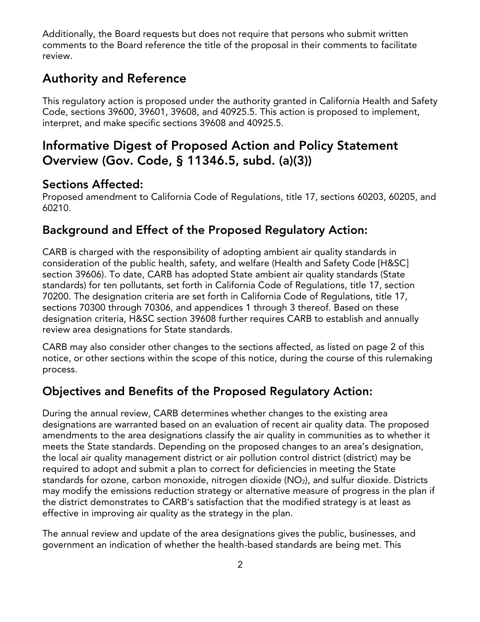Additionally, the Board requests but does not require that persons who submit written comments to the Board reference the title of the proposal in their comments to facilitate review.

### **Authority and Reference**

This regulatory action is proposed under the authority granted in California Health and Safety Code, sections 39600, 39601, 39608, and 40925.5. This action is proposed to implement, interpret, and make specific sections 39608 and 40925.5.

# **Informative Digest of Proposed Action and Policy Statement Overview (Gov. Code, § 11346.5, subd. (a)(3))**

### **Sections Affected:**

Proposed amendment to California Code of Regulations, title 17, sections 60203, 60205, and 60210.

### **Background and Effect of the Proposed Regulatory Action:**

CARB is charged with the responsibility of adopting ambient air quality standards in consideration of the public health, safety, and welfare (Health and Safety Code [H&SC] section 39606). To date, CARB has adopted State ambient air quality standards (State standards) for ten pollutants, set forth in California Code of Regulations, title 17, section 70200. The designation criteria are set forth in California Code of Regulations, title 17, sections 70300 through 70306, and appendices 1 through 3 thereof. Based on these designation criteria, H&SC section 39608 further requires CARB to establish and annually review area designations for State standards.

CARB may also consider other changes to the sections affected, as listed on page 2 of this notice, or other sections within the scope of this notice, during the course of this rulemaking process.

### **Objectives and Benefits of the Proposed Regulatory Action:**

During the annual review, CARB determines whether changes to the existing area designations are warranted based on an evaluation of recent air quality data. The proposed amendments to the area designations classify the air quality in communities as to whether it meets the State standards. Depending on the proposed changes to an area's designation, the local air quality management district or air pollution control district (district) may be required to adopt and submit a plan to correct for deficiencies in meeting the State standards for ozone, carbon monoxide, nitrogen dioxide  $(NO<sub>2</sub>)$ , and sulfur dioxide. Districts may modify the emissions reduction strategy or alternative measure of progress in the plan if the district demonstrates to CARB's satisfaction that the modified strategy is at least as effective in improving air quality as the strategy in the plan.

The annual review and update of the area designations gives the public, businesses, and government an indication of whether the health-based standards are being met. This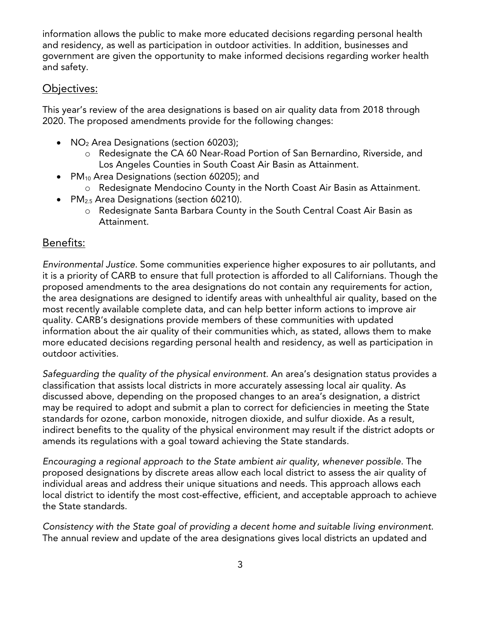information allows the public to make more educated decisions regarding personal health and residency, as well as participation in outdoor activities. In addition, businesses and government are given the opportunity to make informed decisions regarding worker health and safety.

#### Objectives:

This year's review of the area designations is based on air quality data from 2018 through 2020. The proposed amendments provide for the following changes:

- · NO<sup>2</sup> Area Designations (section 60203);
	- o Redesignate the CA 60 Near-Road Portion of San Bernardino, Riverside, and Los Angeles Counties in South Coast Air Basin as Attainment.
- PM<sub>10</sub> Area Designations (section 60205); and
	- o Redesignate Mendocino County in the North Coast Air Basin as Attainment.
- PM<sub>2.5</sub> Area Designations (section 60210).
	- o Redesignate Santa Barbara County in the South Central Coast Air Basin as Attainment.

#### Benefits:

*Environmental Justice.* Some communities experience higher exposures to air pollutants, and it is a priority of CARB to ensure that full protection is afforded to all Californians. Though the proposed amendments to the area designations do not contain any requirements for action, the area designations are designed to identify areas with unhealthful air quality, based on the most recently available complete data, and can help better inform actions to improve air quality. CARB's designations provide members of these communities with updated information about the air quality of their communities which, as stated, allows them to make more educated decisions regarding personal health and residency, as well as participation in outdoor activities.

*Safeguarding the quality of the physical environment.* An area's designation status provides a classification that assists local districts in more accurately assessing local air quality. As discussed above, depending on the proposed changes to an area's designation, a district may be required to adopt and submit a plan to correct for deficiencies in meeting the State standards for ozone, carbon monoxide, nitrogen dioxide, and sulfur dioxide. As a result, indirect benefits to the quality of the physical environment may result if the district adopts or amends its regulations with a goal toward achieving the State standards.

*Encouraging a regional approach to the State ambient air quality, whenever possible.* The proposed designations by discrete areas allow each local district to assess the air quality of individual areas and address their unique situations and needs. This approach allows each local district to identify the most cost-effective, efficient, and acceptable approach to achieve the State standards.

*Consistency with the State goal of providing a decent home and suitable living environment.* The annual review and update of the area designations gives local districts an updated and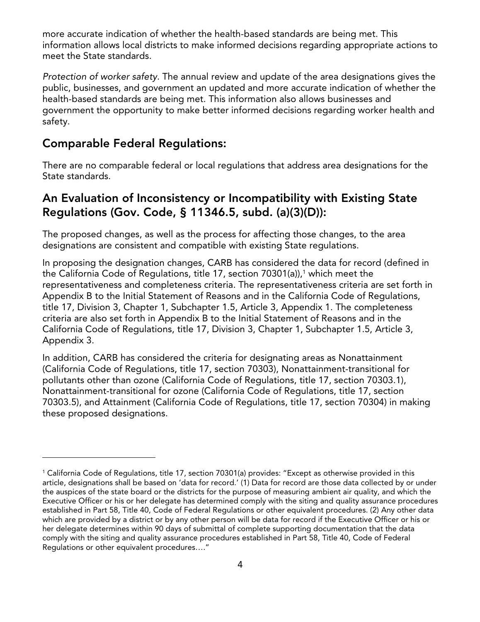more accurate indication of whether the health-based standards are being met. This information allows local districts to make informed decisions regarding appropriate actions to meet the State standards.

*Protection of worker safety.* The annual review and update of the area designations gives the public, businesses, and government an updated and more accurate indication of whether the health-based standards are being met. This information also allows businesses and government the opportunity to make better informed decisions regarding worker health and safety.

#### **Comparable Federal Regulations:**

There are no comparable federal or local regulations that address area designations for the State standards.

### **An Evaluation of Inconsistency or Incompatibility with Existing State Regulations (Gov. Code, § 11346.5, subd. (a)(3)(D)):**

The proposed changes, as well as the process for affecting those changes, to the area designations are consistent and compatible with existing State regulations.

In proposing the designation changes, CARB has considered the data for record (defined in the California Code of Regulations, title [1](#page-3-0)7, section 70301(a)),<sup>1</sup> which meet the representativeness and completeness criteria. The representativeness criteria are set forth in Appendix B to the Initial Statement of Reasons and in the California Code of Regulations, title 17, Division 3, Chapter 1, Subchapter 1.5, Article 3, Appendix 1. The completeness criteria are also set forth in Appendix B to the Initial Statement of Reasons and in the California Code of Regulations, title 17, Division 3, Chapter 1, Subchapter 1.5, Article 3, Appendix 3.

In addition, CARB has considered the criteria for designating areas as Nonattainment (California Code of Regulations, title 17, section 70303), Nonattainment-transitional for pollutants other than ozone (California Code of Regulations, title 17, section 70303.1), Nonattainment-transitional for ozone (California Code of Regulations, title 17, section 70303.5), and Attainment (California Code of Regulations, title 17, section 70304) in making these proposed designations.

<span id="page-3-0"></span><sup>1</sup> California Code of Regulations, title 17, section 70301(a) provides: "Except as otherwise provided in this article, designations shall be based on 'data for record.' (1) Data for record are those data collected by or under the auspices of the state board or the districts for the purpose of measuring ambient air quality, and which the Executive Officer or his or her delegate has determined comply with the siting and quality assurance procedures established in Part 58, Title 40, Code of Federal Regulations or other equivalent procedures. (2) Any other data which are provided by a district or by any other person will be data for record if the Executive Officer or his or her delegate determines within 90 days of submittal of complete supporting documentation that the data comply with the siting and quality assurance procedures established in Part 58, Title 40, Code of Federal Regulations or other equivalent procedures…."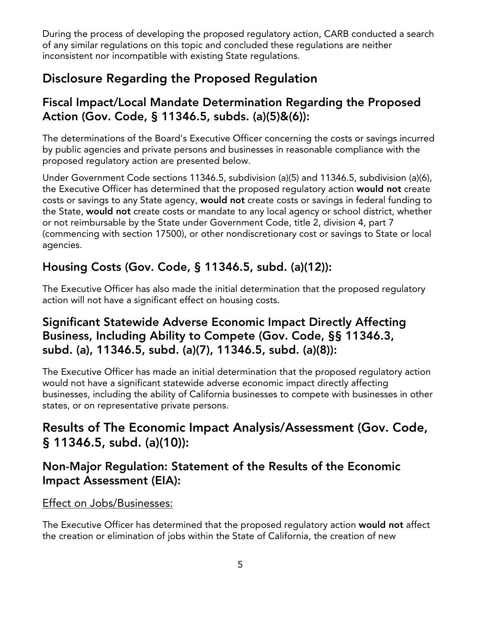During the process of developing the proposed regulatory action, CARB conducted a search of any similar regulations on this topic and concluded these regulations are neither inconsistent nor incompatible with existing State regulations.

# **Disclosure Regarding the Proposed Regulation**

### **Fiscal Impact/Local Mandate Determination Regarding the Proposed Action (Gov. Code, § 11346.5, subds. (a)(5)&(6)):**

The determinations of the Board's Executive Officer concerning the costs or savings incurred by public agencies and private persons and businesses in reasonable compliance with the proposed regulatory action are presented below.

Under Government Code sections 11346.5, subdivision (a)(5) and 11346.5, subdivision (a)(6), the Executive Officer has determined that the proposed regulatory action **would not** create costs or savings to any State agency, **would not** create costs or savings in federal funding to the State, **would not** create costs or mandate to any local agency or school district, whether or not reimbursable by the State under Government Code, title 2, division 4, part 7 (commencing with section 17500), or other nondiscretionary cost or savings to State or local agencies.

# **Housing Costs (Gov. Code, § 11346.5, subd. (a)(12)):**

The Executive Officer has also made the initial determination that the proposed regulatory action will not have a significant effect on housing costs.

### **Significant Statewide Adverse Economic Impact Directly Affecting Business, Including Ability to Compete (Gov. Code, §§ 11346.3, subd. (a), 11346.5, subd. (a)(7), 11346.5, subd. (a)(8)):**

The Executive Officer has made an initial determination that the proposed regulatory action would not have a significant statewide adverse economic impact directly affecting businesses, including the ability of California businesses to compete with businesses in other states, or on representative private persons.

# **Results of The Economic Impact Analysis/Assessment (Gov. Code, § 11346.5, subd. (a)(10)):**

### **Non-Major Regulation: Statement of the Results of the Economic Impact Assessment (EIA):**

#### Effect on Jobs/Businesses:

The Executive Officer has determined that the proposed regulatory action **would not** affect the creation or elimination of jobs within the State of California, the creation of new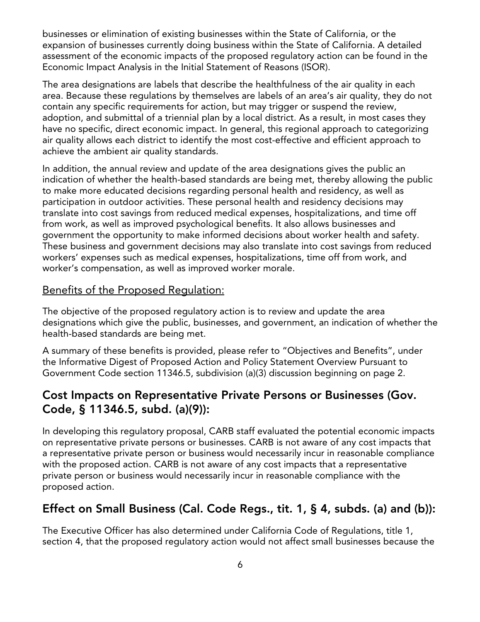businesses or elimination of existing businesses within the State of California, or the expansion of businesses currently doing business within the State of California. A detailed assessment of the economic impacts of the proposed regulatory action can be found in the Economic Impact Analysis in the Initial Statement of Reasons (ISOR).

The area designations are labels that describe the healthfulness of the air quality in each area. Because these regulations by themselves are labels of an area's air quality, they do not contain any specific requirements for action, but may trigger or suspend the review, adoption, and submittal of a triennial plan by a local district. As a result, in most cases they have no specific, direct economic impact. In general, this regional approach to categorizing air quality allows each district to identify the most cost-effective and efficient approach to achieve the ambient air quality standards.

In addition, the annual review and update of the area designations gives the public an indication of whether the health-based standards are being met, thereby allowing the public to make more educated decisions regarding personal health and residency, as well as participation in outdoor activities. These personal health and residency decisions may translate into cost savings from reduced medical expenses, hospitalizations, and time off from work, as well as improved psychological benefits. It also allows businesses and government the opportunity to make informed decisions about worker health and safety. These business and government decisions may also translate into cost savings from reduced workers' expenses such as medical expenses, hospitalizations, time off from work, and worker's compensation, as well as improved worker morale.

### Benefits of the Proposed Regulation:

The objective of the proposed regulatory action is to review and update the area designations which give the public, businesses, and government, an indication of whether the health-based standards are being met.

A summary of these benefits is provided, please refer to "Objectives and Benefits", under the Informative Digest of Proposed Action and Policy Statement Overview Pursuant to Government Code section 11346.5, subdivision (a)(3) discussion beginning on page 2.

### **Cost Impacts on Representative Private Persons or Businesses (Gov. Code, § 11346.5, subd. (a)(9)):**

In developing this regulatory proposal, CARB staff evaluated the potential economic impacts on representative private persons or businesses. CARB is not aware of any cost impacts that a representative private person or business would necessarily incur in reasonable compliance with the proposed action. CARB is not aware of any cost impacts that a representative private person or business would necessarily incur in reasonable compliance with the proposed action.

### **Effect on Small Business (Cal. Code Regs., tit. 1, § 4, subds. (a) and (b)):**

The Executive Officer has also determined under California Code of Regulations, title 1, section 4, that the proposed regulatory action would not affect small businesses because the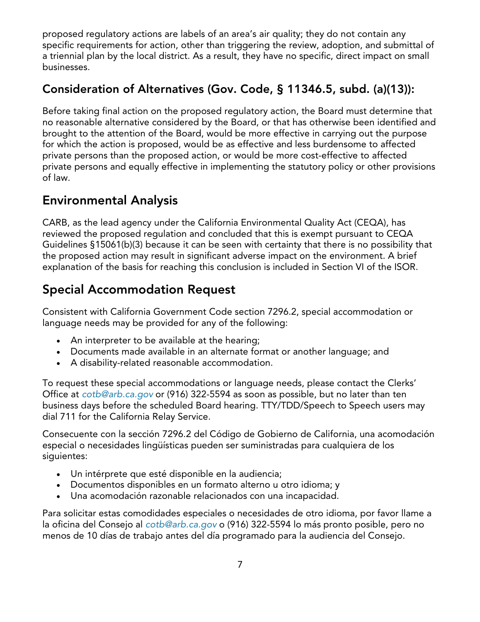proposed regulatory actions are labels of an area's air quality; they do not contain any specific requirements for action, other than triggering the review, adoption, and submittal of a triennial plan by the local district. As a result, they have no specific, direct impact on small businesses.

### **Consideration of Alternatives (Gov. Code, § 11346.5, subd. (a)(13)):**

Before taking final action on the proposed regulatory action, the Board must determine that no reasonable alternative considered by the Board, or that has otherwise been identified and brought to the attention of the Board, would be more effective in carrying out the purpose for which the action is proposed, would be as effective and less burdensome to affected private persons than the proposed action, or would be more cost-effective to affected private persons and equally effective in implementing the statutory policy or other provisions of law.

# **Environmental Analysis**

CARB, as the lead agency under the California Environmental Quality Act (CEQA), has reviewed the proposed regulation and concluded that this is exempt pursuant to CEQA Guidelines §15061(b)(3) because it can be seen with certainty that there is no possibility that the proposed action may result in significant adverse impact on the environment. A brief explanation of the basis for reaching this conclusion is included in Section VI of the ISOR.

# **Special Accommodation Request**

Consistent with California Government Code section 7296.2, special accommodation or language needs may be provided for any of the following:

- · An interpreter to be available at the hearing;
- · Documents made available in an alternate format or another language; and
- · A disability-related reasonable accommodation.

To request these special accommodations or language needs, please contact the Clerks' Office at *[cotb@arb.ca.gov](mailto:cotb@arb.ca.gov)* or (916) 322-5594 as soon as possible, but no later than ten business days before the scheduled Board hearing. TTY/TDD/Speech to Speech users may dial 711 for the California Relay Service.

Consecuente con la sección 7296.2 del Código de Gobierno de California, una acomodación especial o necesidades lingüísticas pueden ser suministradas para cualquiera de los siguientes:

- · Un intérprete que esté disponible en la audiencia;
- · Documentos disponibles en un formato alterno u otro idioma; y
- · Una acomodación razonable relacionados con una incapacidad.

Para solicitar estas comodidades especiales o necesidades de otro idioma, por favor llame a la oficina del Consejo al *[cotb@arb.ca.gov](mailto:cotb@arb.ca.gov)* o (916) 322-5594 lo más pronto posible, pero no menos de 10 días de trabajo antes del día programado para la audiencia del Consejo.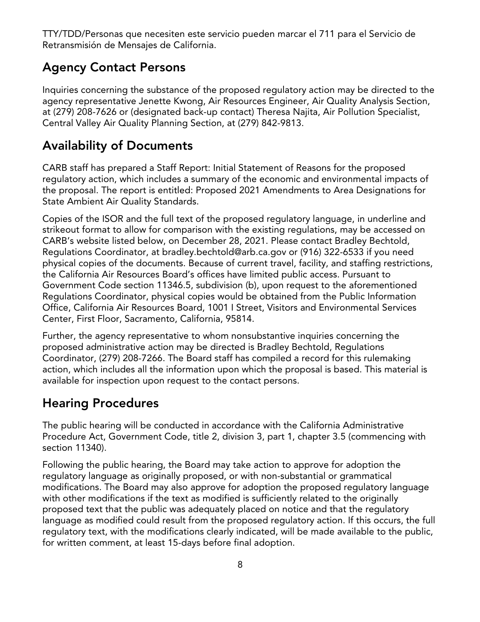TTY/TDD/Personas que necesiten este servicio pueden marcar el 711 para el Servicio de Retransmisión de Mensajes de California.

# **Agency Contact Persons**

Inquiries concerning the substance of the proposed regulatory action may be directed to the agency representative Jenette Kwong, Air Resources Engineer, Air Quality Analysis Section, at (279) 208-7626 or (designated back-up contact) Theresa Najita, Air Pollution Specialist, Central Valley Air Quality Planning Section, at (279) 842-9813.

# **Availability of Documents**

CARB staff has prepared a Staff Report: Initial Statement of Reasons for the proposed regulatory action, which includes a summary of the economic and environmental impacts of the proposal. The report is entitled: Proposed 2021 Amendments to Area Designations for State Ambient Air Quality Standards.

Copies of the ISOR and the full text of the proposed regulatory language, in underline and strikeout format to allow for comparison with the existing regulations, may be accessed on CARB's website listed below, on December 28, 2021. Please contact Bradley Bechtold, Regulations Coordinator, at bradley.bechtold@arb.ca.gov or (916) 322-6533 if you need physical copies of the documents. Because of current travel, facility, and staffing restrictions, the California Air Resources Board's offices have limited public access. Pursuant to Government Code section 11346.5, subdivision (b), upon request to the aforementioned Regulations Coordinator, physical copies would be obtained from the Public Information Office, California Air Resources Board, 1001 I Street, Visitors and Environmental Services Center, First Floor, Sacramento, California, 95814.

Further, the agency representative to whom nonsubstantive inquiries concerning the proposed administrative action may be directed is Bradley Bechtold, Regulations Coordinator, (279) 208-7266. The Board staff has compiled a record for this rulemaking action, which includes all the information upon which the proposal is based. This material is available for inspection upon request to the contact persons.

# **Hearing Procedures**

The public hearing will be conducted in accordance with the California Administrative Procedure Act, Government Code, title 2, division 3, part 1, chapter 3.5 (commencing with section 11340).

Following the public hearing, the Board may take action to approve for adoption the regulatory language as originally proposed, or with non-substantial or grammatical modifications. The Board may also approve for adoption the proposed regulatory language with other modifications if the text as modified is sufficiently related to the originally proposed text that the public was adequately placed on notice and that the regulatory language as modified could result from the proposed regulatory action. If this occurs, the full regulatory text, with the modifications clearly indicated, will be made available to the public, for written comment, at least 15-days before final adoption.